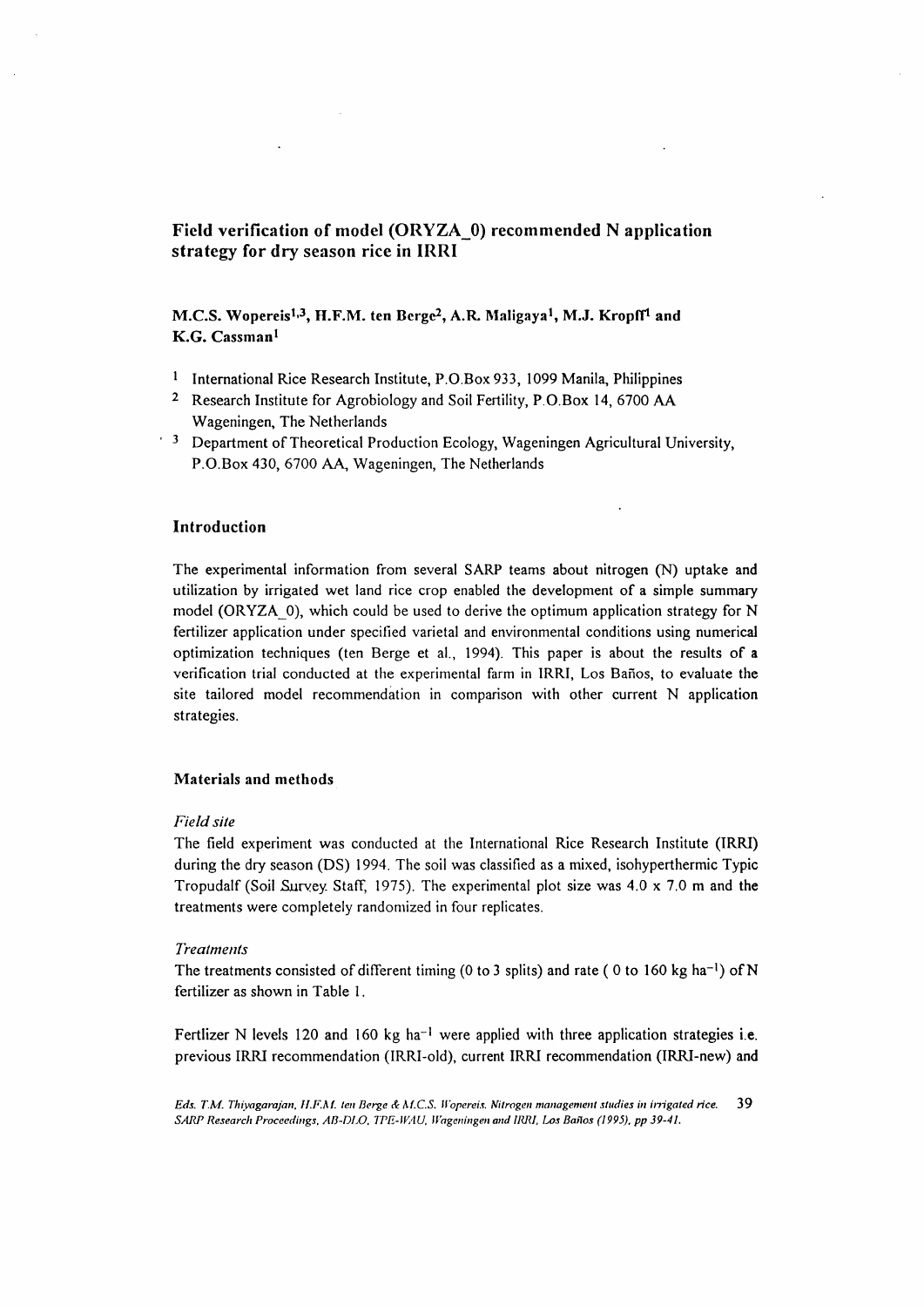# Field verification of model (ORYZA\_O) recommended N application strategy for dry season rice in IRRI

## M.C.S. Wopereis<sup>1,3</sup>, H.F.M. ten Berge<sup>2</sup>, A.R. Maligaya<sup>1</sup>, M.J. Kropff<sup>1</sup> and K.G. Cassman<sup>1</sup>

- <sup>1</sup> International Rice Research Institute, P.O.Box 933, 1099 Manila, Philippines
- 2 Research Institute for Agrobiology and Soil Fertility, P.O.Box 14, 6700 AA Wageningen, The Netherlands
- <sup>5</sup> Department of Theoretical Production Ecology, Wageningen Agricultural University, P.O.Box 430, 6700 AA, Wageningen, The Netherlands

## Introduction

The experimental information from several SARP teams about nitrogen (N) uptake and utilization by irrigated wet land rice crop enabled the development of a simple summary model (ORYZA $\,$  0), which could be used to derive the optimum application strategy for N fertilizer application under specified varietal and environmental conditions using numerical optimization techniques (ten Berge et al., 1994). This paper is about the results of a verification trial conducted at the experimental farm in IRRI, Los Banos, to evaluate the site tailored model recommendation in comparison with other current N application strategies.

#### Materials and methods

## *Field site*

The field experiment was conducted at the International Rice Research Institute (IRRI) during the dry season (DS) 1994. The soil was classified as a mixed, isohyperthermic Typic Tropudalf (Soil Survey. Staff, 1975). The experimental plot size was  $4.0 \times 7.0$  m and the treatments were completely randomized in four replicates.

#### *Treatments*

The treatments consisted of different timing (0 to 3 splits) and rate (0 to 160 kg ha<sup>-1</sup>) of N fertilizer as shown in Table 1.

Fertlizer N levels 120 and 160 kg ha<sup>-1</sup> were applied with three application strategies i.e. previous IRRI recommendation (IRRI-old), current IRRI recommendation (IRRI-new) and

Eds. T.M. Thiyagarajan, H.F.M. ten Berge & M.C.S. Wopereis. Nitrogen management studies in irrigated rice. 39 SARP Research Proceedings, AB-DLO, TPE-WAU, Wageningen and IRRI, Los Baños (1995), pp 39-41.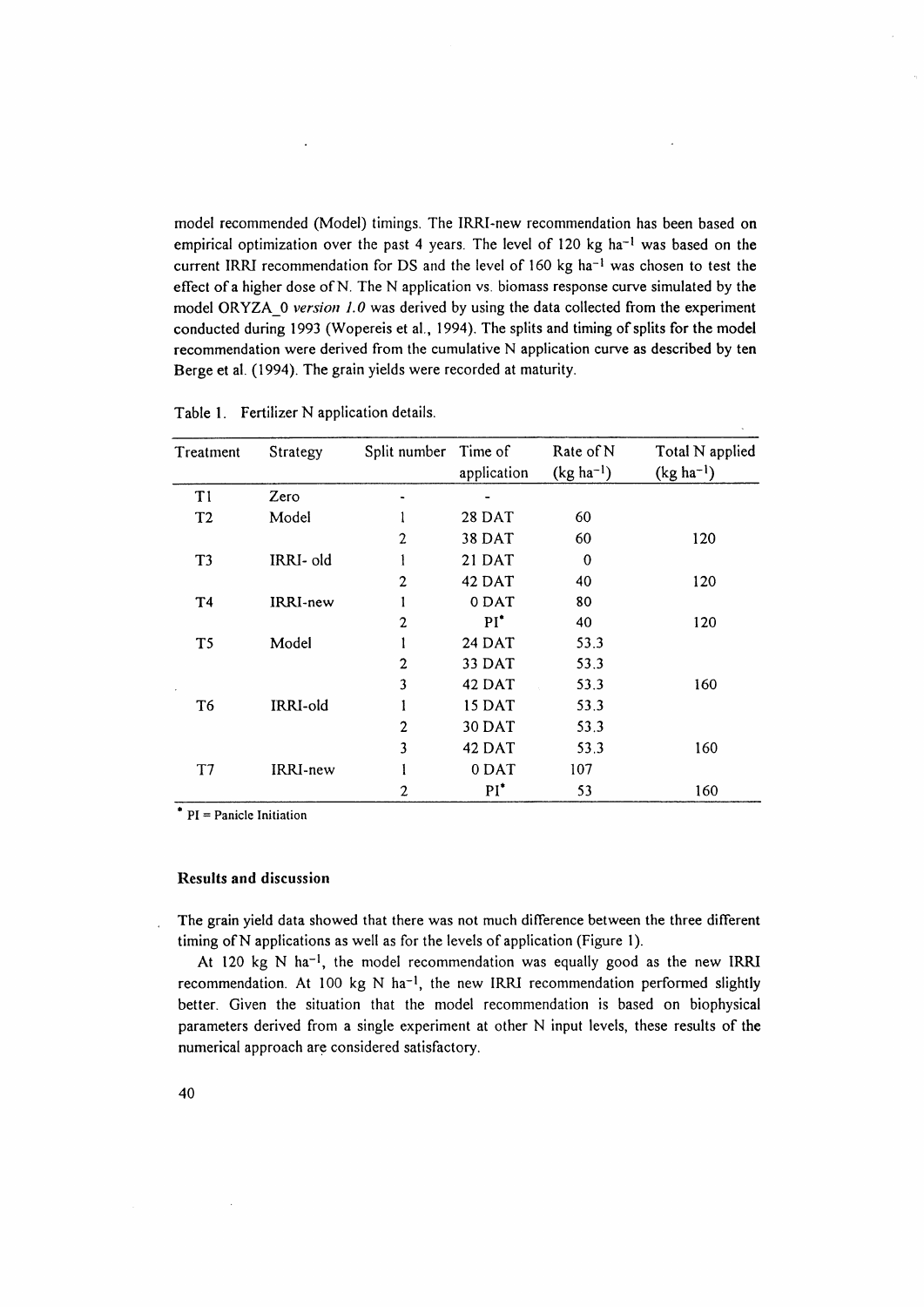model recommended (Model) timings. The IRRI -new recommendation has been based on empirical optimization over the past 4 years. The level of 120 kg ha<sup>-1</sup> was based on the current IRRI recommendation for DS and the level of 160 kg ha<sup>-1</sup> was chosen to test the effect of a higher dose of N. The N application vs. biomass response curve simulated by the model ORYZA\_O *version* 1.0 was derived by using the data collected from the experiment conducted during 1993 (Wopereis et al., 1994). The splits and timing of splits for the model recommendation were derived from the cumulative N application curve as described by ten Berge et al. (1994). The grain yields were recorded at maturity.

| Treatment                 | Strategy        | Split number   | Time of<br>application | Rate of N<br>$(kg ha-1)$ | Total N applied<br>$(kg ha-1)$ |
|---------------------------|-----------------|----------------|------------------------|--------------------------|--------------------------------|
| T <sub>1</sub>            | Zero            |                |                        |                          |                                |
| T <sub>2</sub>            | Model           |                | <b>28 DAT</b>          | 60                       |                                |
|                           |                 | $\mathfrak{p}$ | 38 DAT                 | 60                       | 120                            |
| T <sub>3</sub>            | IRRI- old       |                | 21 DAT                 | $\theta$                 |                                |
|                           |                 | 2              | 42 DAT                 | 40                       | 120                            |
| T <sub>4</sub>            | IRRI-new        |                | 0 DAT                  | 80                       |                                |
|                           |                 | $\mathbf{2}$   | $PI^*$                 | 40                       | 120                            |
| T <sub>5</sub><br>$\cdot$ | Model           |                | <b>24 DAT</b>          | 53.3                     |                                |
|                           |                 | $\overline{2}$ | 33 DAT                 | 53.3                     |                                |
|                           |                 | 3              | 42 DAT                 | 53.3                     | 160                            |
| T6                        | IRRI-old        |                | 15 DAT                 | 53.3                     |                                |
|                           |                 | $\overline{2}$ | 30 DAT                 | 53.3                     |                                |
|                           |                 | 3              | 42 DAT                 | 53.3                     | 160                            |
| T7                        | <b>IRRI-new</b> |                | 0 DAT                  | 107                      |                                |
|                           |                 | 2              | $PI^*$                 | 53                       | 160                            |

Table 1. Fertilizer N application details.

 $*$  PI = Panicle Initiation

#### Results and discussion

The grain yield data showed that there was not much difference between the three different timing of N applications as well as for the levels of application (Figure 1).

At 120 kg N ha-l, the model recommendation was equally good as the new IRRI recommendation. At 100 kg N ha<sup>-1</sup>, the new IRRI recommendation performed slightly better. Given the situation that the model recommendation is based on biophysical parameters derived from a single experiment at other N input levels, these results of the numerical approach are considered satisfactory.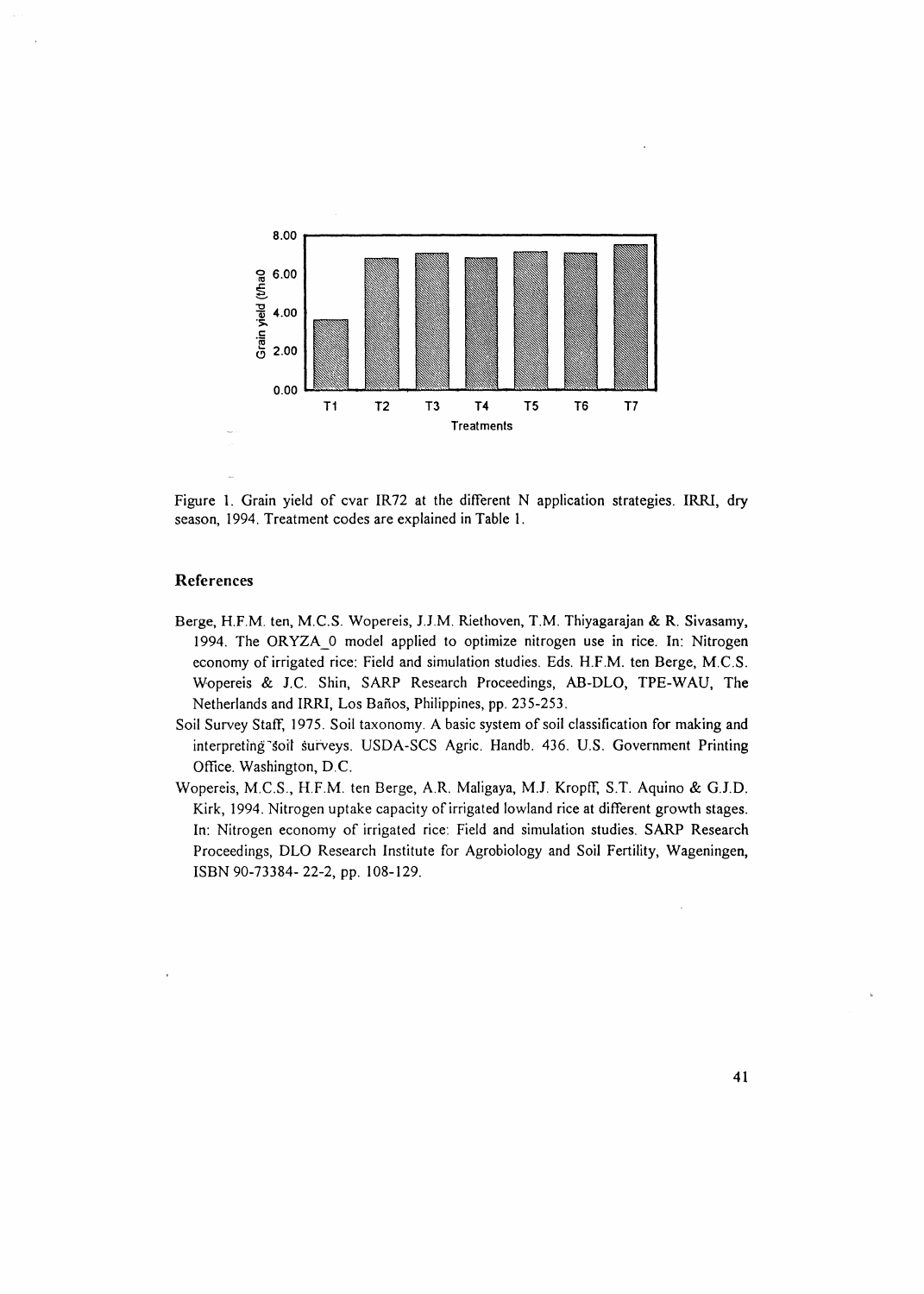

Figure 1. Grain yield of cvar IR72 at the different N application strategies. IRRI, dry season, 1994. Treatment codes are explained in Table 1.

## References

- Berge, H.F.M. ten, M.C.S. Wopereis, J.J.M. Riethoven, T.M. Thiyagarajan & R. Sivasamy, 1994. The ORYZA\_O model applied to optimize nitrogen use in rice. In: Nitrogen economy of irrigated rice: Field and simulation studies. Eds. H.F.M. ten Berge, M.C.S. Wopereis & J.C. Shin, SARP Research Proceedings, AB-DLO, TPE-WAU, The Netherlands and IRRI, Los Baños, Philippines, pp. 235-253.
- Soil Survey Staff, 1975. Soil taxonomy. A basic system of soil classification for making and interpreting soil surveys. USDA-SCS Agric. Handb. 436. U.S. Government Printing Office. Washington, D.C.
- Wopereis, M.C.S., H.F.M. ten Berge, A.R. Maligaya, M.J. Kropff, S.T. Aquino & G.J.D. Kirk, 1994. Nitrogen uptake capacity of irrigated lowland rice at different growth stages. In: Nitrogen economy of irrigated rice: Field and simulation studies. SARP Research Proceedings, DLO Research Institute for Agrobiology and Soil Fertility, Wageningen, ISBN 90-73384-22-2, pp. 108-129.